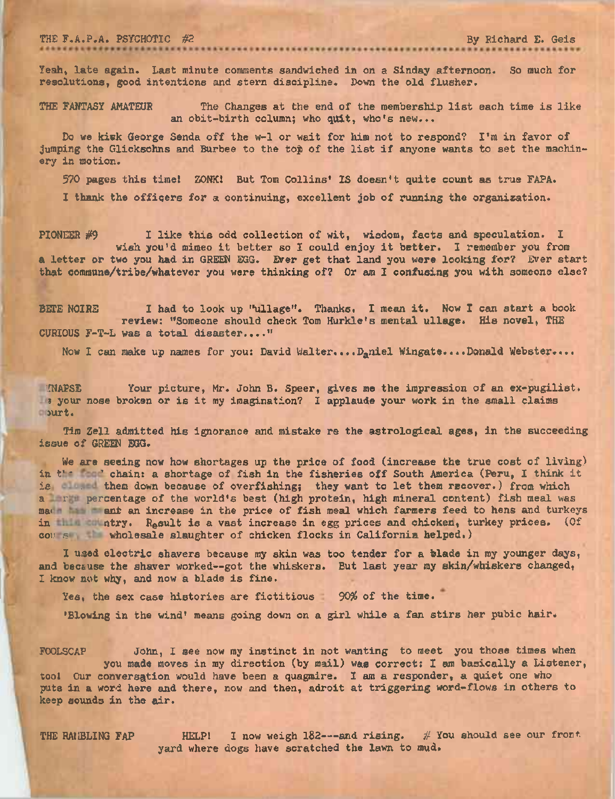THE F.A.P.A. PSYCHOTIC #2 By Richard E. Geis

Yeah, late again. Last minute comments sandwiched in on a Sinday afternoon. So much for resolutions, good intentions and stern discipline. Down the old flusher.

THE FANTASY AMATEUR The Changes at the end of the membership list each time is like an obit-birth column; who quit, who's new...

Do we kitk George Senda off the w-1 or wait for him not to respond? I'm in favor of jumping the Glicksohns and Burbee to the top of the list if anyone wants to set the machinery in motion.

<sup>570</sup> pages this timel ZONK! But Tom Collins' IS doesn't quite count as true FAPA.

I thank the officers for a continuing, excellent job of running the organization.

PIONEER #9 I like this odd collection of wit, wisdom, facts and speculation. I wish you'd mimeo it better so I could enjoy it better. <sup>I</sup> remember you from a letter or two you had in GREEN EGG. Ever get that land you were looking for? Ever start that commune/tribe/whatever you were thinking of? Or am I confusing you with someone else?

BETE NOIRE <sup>I</sup> had to look up "ullage". Thanks. I mean it. Now I can start <sup>a</sup> book review: "Someone should check Tom Hurkle's mental ullage. His novel, THE CURIOUS F-T-L was a total disaster...."

Now <sup>I</sup> can make up names for you: David Walter....Daniel Wingate....Donald Webster....

/NAPSE Your picture, Mr. John B. Speer, gives me the impression of an ex-pugilist. <sup>5</sup> your nose broken or is it my imagination? <sup>I</sup> applaude your work in the small claims jurt.

Tim Zell admitted his ignorance and mistake re the astrological ages, in the succeeding issue of GREEN EGG.

We are seeing now how shortages up the price of food (increase the true cost of living) in the solution of fish in the fisheries off South America (Peru, I think it is . them down because of overfishing; they want to let them recover.) from which a I run percentage of the world's best (high protein, high mineral content) fish meal was made and an increase in the price of fish meal which farmers feed to hens and turkeys in title that is a vast increase in egg prices and chicken, turkey prices. (Of cor s wholesale slaughter of chicken flocks in California helped.)

I used electric shavers because my skin was too tender for a blade in my younger days, and because the shaver worked--got the whiskers. But last year my skin/whiskers changed, I know not why, and now a blade is fine.

Yes, the sex case histories are fictitious 90% of the time.

•Blowing in the wind' means going down on a girl while a fan stirs her pubic hair.

FOOLSCAP John, I see now my instinct in not wanting to meet you those times when you made moves in my direction (by mail) was correct: I am basically a Listener, tool Our conversation would have been a quagmire. I am a responder, a quiet one who puts in a word here and there, now and then, adroit at triggering word-flows in others to keep sounds in the air.

THE RAMBLING FAP HELP! I now weigh  $182$ ---and rising. # You should see our front yard where dogs have scratched the lawn to mud.